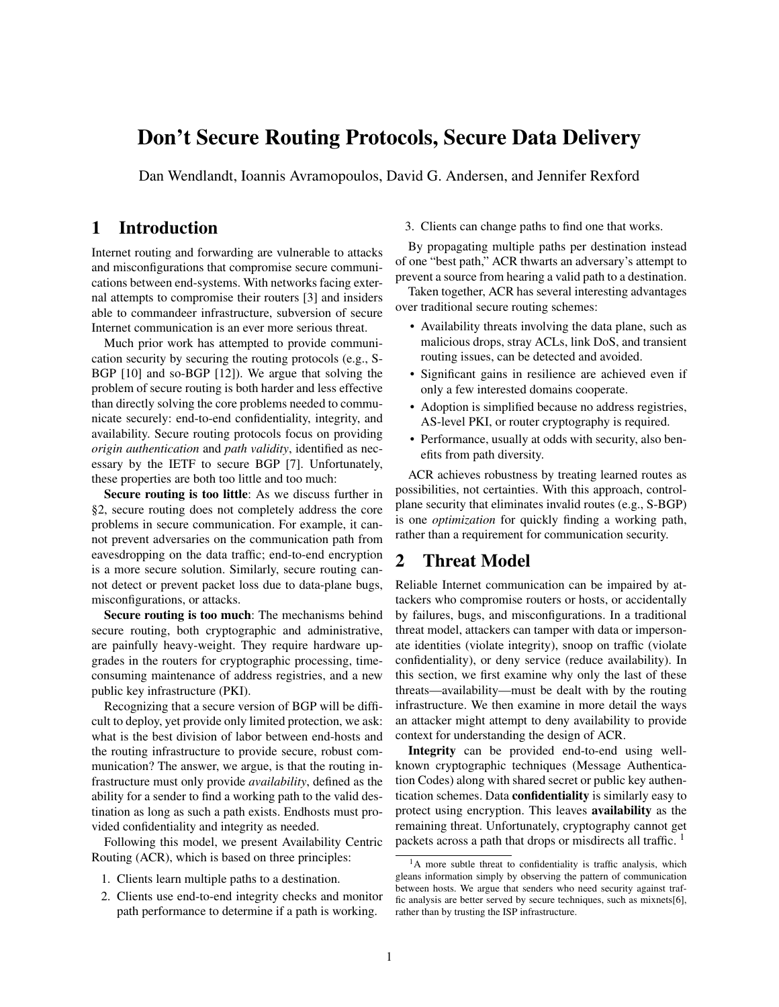# Don't Secure Routing Protocols, Secure Data Delivery

Dan Wendlandt, Ioannis Avramopoulos, David G. Andersen, and Jennifer Rexford

# 1 Introduction

Internet routing and forwarding are vulnerable to attacks and misconfigurations that compromise secure communications between end-systems. With networks facing external attempts to compromise their routers [\[3\]](#page-5-0) and insiders able to commandeer infrastructure, subversion of secure Internet communication is an ever more serious threat.

Much prior work has attempted to provide communication security by securing the routing protocols (e.g., S-BGP [\[10\]](#page-5-1) and so-BGP [\[12\]](#page-5-2)). We argue that solving the problem of secure routing is both harder and less effective than directly solving the core problems needed to communicate securely: end-to-end confidentiality, integrity, and availability. Secure routing protocols focus on providing *origin authentication* and *path validity*, identified as necessary by the IETF to secure BGP [\[7\]](#page-5-3). Unfortunately, these properties are both too little and too much:

Secure routing is too little: As we discuss further in [§2,](#page-0-0) secure routing does not completely address the core problems in secure communication. For example, it cannot prevent adversaries on the communication path from eavesdropping on the data traffic; end-to-end encryption is a more secure solution. Similarly, secure routing cannot detect or prevent packet loss due to data-plane bugs, misconfigurations, or attacks.

Secure routing is too much: The mechanisms behind secure routing, both cryptographic and administrative, are painfully heavy-weight. They require hardware upgrades in the routers for cryptographic processing, timeconsuming maintenance of address registries, and a new public key infrastructure (PKI).

Recognizing that a secure version of BGP will be difficult to deploy, yet provide only limited protection, we ask: what is the best division of labor between end-hosts and the routing infrastructure to provide secure, robust communication? The answer, we argue, is that the routing infrastructure must only provide *availability*, defined as the ability for a sender to find a working path to the valid destination as long as such a path exists. Endhosts must provided confidentiality and integrity as needed.

Following this model, we present Availability Centric Routing (ACR), which is based on three principles:

- 1. Clients learn multiple paths to a destination.
- 2. Clients use end-to-end integrity checks and monitor path performance to determine if a path is working.

#### 3. Clients can change paths to find one that works.

By propagating multiple paths per destination instead of one "best path," ACR thwarts an adversary's attempt to prevent a source from hearing a valid path to a destination.

Taken together, ACR has several interesting advantages over traditional secure routing schemes:

- Availability threats involving the data plane, such as malicious drops, stray ACLs, link DoS, and transient routing issues, can be detected and avoided.
- Significant gains in resilience are achieved even if only a few interested domains cooperate.
- Adoption is simplified because no address registries, AS-level PKI, or router cryptography is required.
- Performance, usually at odds with security, also benefits from path diversity.

ACR achieves robustness by treating learned routes as possibilities, not certainties. With this approach, controlplane security that eliminates invalid routes (e.g., S-BGP) is one *optimization* for quickly finding a working path, rather than a requirement for communication security.

# <span id="page-0-0"></span>2 Threat Model

Reliable Internet communication can be impaired by attackers who compromise routers or hosts, or accidentally by failures, bugs, and misconfigurations. In a traditional threat model, attackers can tamper with data or impersonate identities (violate integrity), snoop on traffic (violate confidentiality), or deny service (reduce availability). In this section, we first examine why only the last of these threats—availability—must be dealt with by the routing infrastructure. We then examine in more detail the ways an attacker might attempt to deny availability to provide context for understanding the design of ACR.

Integrity can be provided end-to-end using wellknown cryptographic techniques (Message Authentication Codes) along with shared secret or public key authentication schemes. Data confidentiality is similarly easy to protect using encryption. This leaves availability as the remaining threat. Unfortunately, cryptography cannot get packets across a path that drops or misdirects all traffic. <sup>[1](#page-0-1)</sup>

<span id="page-0-1"></span> $<sup>1</sup>A$  more subtle threat to confidentiality is traffic analysis, which</sup> gleans information simply by observing the pattern of communication between hosts. We argue that senders who need security against traffic analysis are better served by secure techniques, such as mixnets[\[6\]](#page-5-4), rather than by trusting the ISP infrastructure.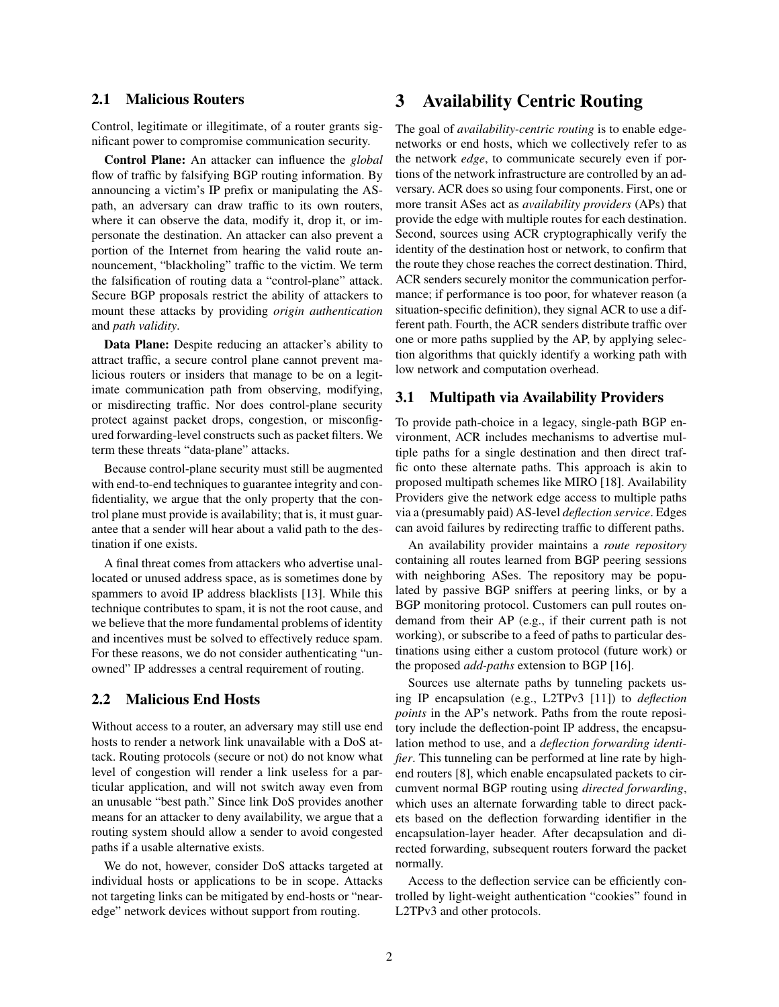### 2.1 Malicious Routers

Control, legitimate or illegitimate, of a router grants significant power to compromise communication security.

Control Plane: An attacker can influence the *global* flow of traffic by falsifying BGP routing information. By announcing a victim's IP prefix or manipulating the ASpath, an adversary can draw traffic to its own routers, where it can observe the data, modify it, drop it, or impersonate the destination. An attacker can also prevent a portion of the Internet from hearing the valid route announcement, "blackholing" traffic to the victim. We term the falsification of routing data a "control-plane" attack. Secure BGP proposals restrict the ability of attackers to mount these attacks by providing *origin authentication* and *path validity*.

Data Plane: Despite reducing an attacker's ability to attract traffic, a secure control plane cannot prevent malicious routers or insiders that manage to be on a legitimate communication path from observing, modifying, or misdirecting traffic. Nor does control-plane security protect against packet drops, congestion, or misconfigured forwarding-level constructs such as packet filters. We term these threats "data-plane" attacks.

Because control-plane security must still be augmented with end-to-end techniques to guarantee integrity and confidentiality, we argue that the only property that the control plane must provide is availability; that is, it must guarantee that a sender will hear about a valid path to the destination if one exists.

A final threat comes from attackers who advertise unallocated or unused address space, as is sometimes done by spammers to avoid IP address blacklists [\[13\]](#page-5-5). While this technique contributes to spam, it is not the root cause, and we believe that the more fundamental problems of identity and incentives must be solved to effectively reduce spam. For these reasons, we do not consider authenticating "unowned" IP addresses a central requirement of routing.

### 2.2 Malicious End Hosts

Without access to a router, an adversary may still use end hosts to render a network link unavailable with a DoS attack. Routing protocols (secure or not) do not know what level of congestion will render a link useless for a particular application, and will not switch away even from an unusable "best path." Since link DoS provides another means for an attacker to deny availability, we argue that a routing system should allow a sender to avoid congested paths if a usable alternative exists.

We do not, however, consider DoS attacks targeted at individual hosts or applications to be in scope. Attacks not targeting links can be mitigated by end-hosts or "nearedge" network devices without support from routing.

# 3 Availability Centric Routing

The goal of *availability-centric routing* is to enable edgenetworks or end hosts, which we collectively refer to as the network *edge*, to communicate securely even if portions of the network infrastructure are controlled by an adversary. ACR does so using four components. First, one or more transit ASes act as *availability providers* (APs) that provide the edge with multiple routes for each destination. Second, sources using ACR cryptographically verify the identity of the destination host or network, to confirm that the route they chose reaches the correct destination. Third, ACR senders securely monitor the communication performance; if performance is too poor, for whatever reason (a situation-specific definition), they signal ACR to use a different path. Fourth, the ACR senders distribute traffic over one or more paths supplied by the AP, by applying selection algorithms that quickly identify a working path with low network and computation overhead.

#### 3.1 Multipath via Availability Providers

To provide path-choice in a legacy, single-path BGP environment, ACR includes mechanisms to advertise multiple paths for a single destination and then direct traffic onto these alternate paths. This approach is akin to proposed multipath schemes like MIRO [\[18\]](#page-5-6). Availability Providers give the network edge access to multiple paths via a (presumably paid) AS-level *deflection service*. Edges can avoid failures by redirecting traffic to different paths.

An availability provider maintains a *route repository* containing all routes learned from BGP peering sessions with neighboring ASes. The repository may be populated by passive BGP sniffers at peering links, or by a BGP monitoring protocol. Customers can pull routes ondemand from their AP (e.g., if their current path is not working), or subscribe to a feed of paths to particular destinations using either a custom protocol (future work) or the proposed *add-paths* extension to BGP [\[16\]](#page-5-7).

Sources use alternate paths by tunneling packets using IP encapsulation (e.g., L2TPv3 [\[11\]](#page-5-8)) to *deflection points* in the AP's network. Paths from the route repository include the deflection-point IP address, the encapsulation method to use, and a *deflection forwarding identifier*. This tunneling can be performed at line rate by highend routers [\[8\]](#page-5-9), which enable encapsulated packets to circumvent normal BGP routing using *directed forwarding*, which uses an alternate forwarding table to direct packets based on the deflection forwarding identifier in the encapsulation-layer header. After decapsulation and directed forwarding, subsequent routers forward the packet normally.

Access to the deflection service can be efficiently controlled by light-weight authentication "cookies" found in L2TPv3 and other protocols.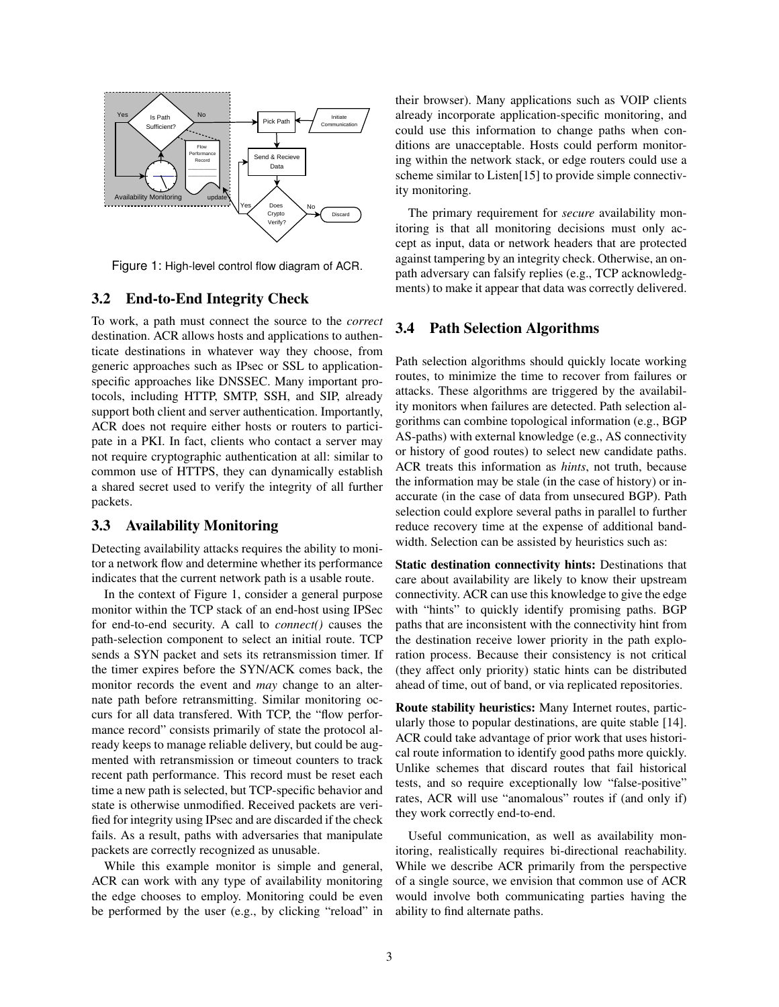

<span id="page-2-0"></span>Figure 1: High-level control flow diagram of ACR.

#### 3.2 End-to-End Integrity Check

To work, a path must connect the source to the *correct* destination. ACR allows hosts and applications to authenticate destinations in whatever way they choose, from generic approaches such as IPsec or SSL to applicationspecific approaches like DNSSEC. Many important protocols, including HTTP, SMTP, SSH, and SIP, already support both client and server authentication. Importantly, ACR does not require either hosts or routers to participate in a PKI. In fact, clients who contact a server may not require cryptographic authentication at all: similar to common use of HTTPS, they can dynamically establish a shared secret used to verify the integrity of all further packets.

#### 3.3 Availability Monitoring

Detecting availability attacks requires the ability to monitor a network flow and determine whether its performance indicates that the current network path is a usable route.

In the context of Figure [1,](#page-2-0) consider a general purpose monitor within the TCP stack of an end-host using IPSec for end-to-end security. A call to *connect()* causes the path-selection component to select an initial route. TCP sends a SYN packet and sets its retransmission timer. If the timer expires before the SYN/ACK comes back, the monitor records the event and *may* change to an alternate path before retransmitting. Similar monitoring occurs for all data transfered. With TCP, the "flow performance record" consists primarily of state the protocol already keeps to manage reliable delivery, but could be augmented with retransmission or timeout counters to track recent path performance. This record must be reset each time a new path is selected, but TCP-specific behavior and state is otherwise unmodified. Received packets are verified for integrity using IPsec and are discarded if the check fails. As a result, paths with adversaries that manipulate packets are correctly recognized as unusable.

While this example monitor is simple and general, ACR can work with any type of availability monitoring the edge chooses to employ. Monitoring could be even be performed by the user (e.g., by clicking "reload" in their browser). Many applications such as VOIP clients already incorporate application-specific monitoring, and could use this information to change paths when conditions are unacceptable. Hosts could perform monitoring within the network stack, or edge routers could use a scheme similar to Listen[\[15\]](#page-5-10) to provide simple connectivity monitoring.

The primary requirement for *secure* availability monitoring is that all monitoring decisions must only accept as input, data or network headers that are protected against tampering by an integrity check. Otherwise, an onpath adversary can falsify replies (e.g., TCP acknowledgments) to make it appear that data was correctly delivered.

### 3.4 Path Selection Algorithms

Path selection algorithms should quickly locate working routes, to minimize the time to recover from failures or attacks. These algorithms are triggered by the availability monitors when failures are detected. Path selection algorithms can combine topological information (e.g., BGP AS-paths) with external knowledge (e.g., AS connectivity or history of good routes) to select new candidate paths. ACR treats this information as *hints*, not truth, because the information may be stale (in the case of history) or inaccurate (in the case of data from unsecured BGP). Path selection could explore several paths in parallel to further reduce recovery time at the expense of additional bandwidth. Selection can be assisted by heuristics such as:

Static destination connectivity hints: Destinations that care about availability are likely to know their upstream connectivity. ACR can use this knowledge to give the edge with "hints" to quickly identify promising paths. BGP paths that are inconsistent with the connectivity hint from the destination receive lower priority in the path exploration process. Because their consistency is not critical (they affect only priority) static hints can be distributed ahead of time, out of band, or via replicated repositories.

Route stability heuristics: Many Internet routes, particularly those to popular destinations, are quite stable [\[14\]](#page-5-11). ACR could take advantage of prior work that uses historical route information to identify good paths more quickly. Unlike schemes that discard routes that fail historical tests, and so require exceptionally low "false-positive" rates, ACR will use "anomalous" routes if (and only if) they work correctly end-to-end.

Useful communication, as well as availability monitoring, realistically requires bi-directional reachability. While we describe ACR primarily from the perspective of a single source, we envision that common use of ACR would involve both communicating parties having the ability to find alternate paths.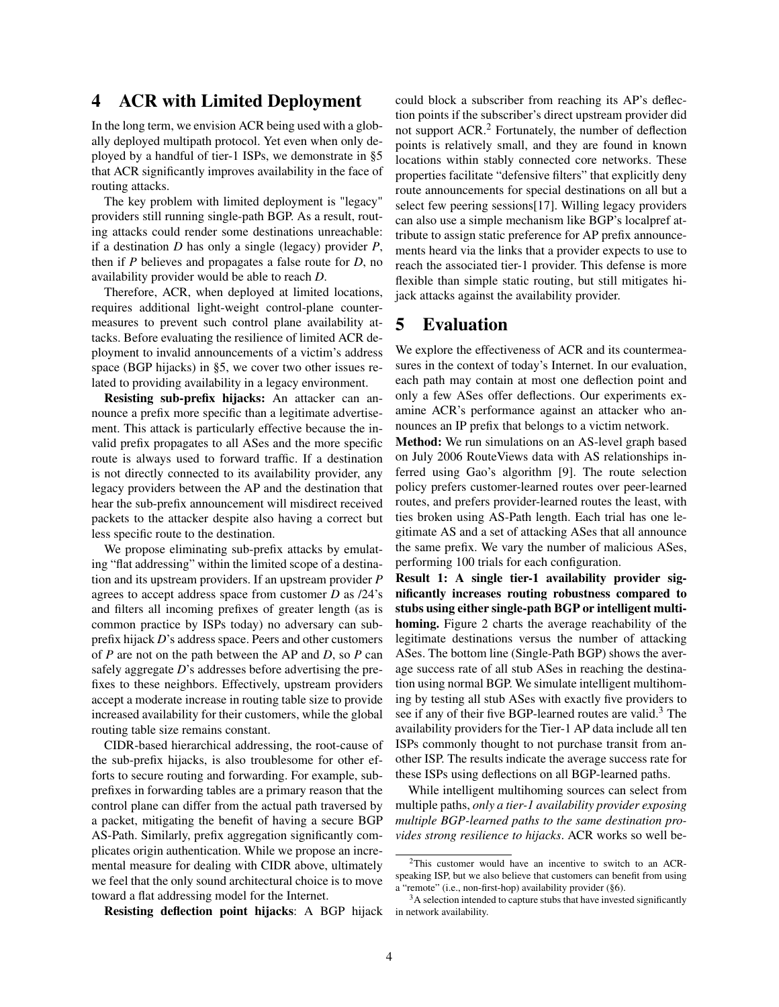# 4 ACR with Limited Deployment

In the long term, we envision ACR being used with a globally deployed multipath protocol. Yet even when only deployed by a handful of tier-1 ISPs, we demonstrate in [§5](#page-3-0) that ACR significantly improves availability in the face of routing attacks.

The key problem with limited deployment is "legacy" providers still running single-path BGP. As a result, routing attacks could render some destinations unreachable: if a destination *D* has only a single (legacy) provider *P*, then if *P* believes and propagates a false route for *D*, no availability provider would be able to reach *D*.

Therefore, ACR, when deployed at limited locations, requires additional light-weight control-plane countermeasures to prevent such control plane availability attacks. Before evaluating the resilience of limited ACR deployment to invalid announcements of a victim's address space (BGP hijacks) in [§5,](#page-3-0) we cover two other issues related to providing availability in a legacy environment.

Resisting sub-prefix hijacks: An attacker can announce a prefix more specific than a legitimate advertisement. This attack is particularly effective because the invalid prefix propagates to all ASes and the more specific route is always used to forward traffic. If a destination is not directly connected to its availability provider, any legacy providers between the AP and the destination that hear the sub-prefix announcement will misdirect received packets to the attacker despite also having a correct but less specific route to the destination.

We propose eliminating sub-prefix attacks by emulating "flat addressing" within the limited scope of a destination and its upstream providers. If an upstream provider *P* agrees to accept address space from customer *D* as /24's and filters all incoming prefixes of greater length (as is common practice by ISPs today) no adversary can subprefix hijack *D*'s address space. Peers and other customers of *P* are not on the path between the AP and *D*, so *P* can safely aggregate *D*'s addresses before advertising the prefixes to these neighbors. Effectively, upstream providers accept a moderate increase in routing table size to provide increased availability for their customers, while the global routing table size remains constant.

CIDR-based hierarchical addressing, the root-cause of the sub-prefix hijacks, is also troublesome for other efforts to secure routing and forwarding. For example, subprefixes in forwarding tables are a primary reason that the control plane can differ from the actual path traversed by a packet, mitigating the benefit of having a secure BGP AS-Path. Similarly, prefix aggregation significantly complicates origin authentication. While we propose an incremental measure for dealing with CIDR above, ultimately we feel that the only sound architectural choice is to move toward a flat addressing model for the Internet.

Resisting deflection point hijacks: A BGP hijack

could block a subscriber from reaching its AP's deflection points if the subscriber's direct upstream provider did not support ACR.[2](#page-3-1) Fortunately, the number of deflection points is relatively small, and they are found in known locations within stably connected core networks. These properties facilitate "defensive filters" that explicitly deny route announcements for special destinations on all but a select few peering sessions[\[17\]](#page-5-12). Willing legacy providers can also use a simple mechanism like BGP's localpref attribute to assign static preference for AP prefix announcements heard via the links that a provider expects to use to reach the associated tier-1 provider. This defense is more flexible than simple static routing, but still mitigates hijack attacks against the availability provider.

### <span id="page-3-0"></span>5 Evaluation

We explore the effectiveness of ACR and its countermeasures in the context of today's Internet. In our evaluation, each path may contain at most one deflection point and only a few ASes offer deflections. Our experiments examine ACR's performance against an attacker who announces an IP prefix that belongs to a victim network.

Method: We run simulations on an AS-level graph based on July 2006 RouteViews data with AS relationships inferred using Gao's algorithm [\[9\]](#page-5-13). The route selection policy prefers customer-learned routes over peer-learned routes, and prefers provider-learned routes the least, with ties broken using AS-Path length. Each trial has one legitimate AS and a set of attacking ASes that all announce the same prefix. We vary the number of malicious ASes, performing 100 trials for each configuration.

Result 1: A single tier-1 availability provider significantly increases routing robustness compared to stubs using either single-path BGP or intelligent multihoming. Figure [2](#page-4-0) charts the average reachability of the legitimate destinations versus the number of attacking ASes. The bottom line (Single-Path BGP) shows the average success rate of all stub ASes in reaching the destination using normal BGP. We simulate intelligent multihoming by testing all stub ASes with exactly five providers to see if any of their five BGP-learned routes are valid.<sup>[3](#page-3-2)</sup> The availability providers for the Tier-1 AP data include all ten ISPs commonly thought to not purchase transit from another ISP. The results indicate the average success rate for these ISPs using deflections on all BGP-learned paths.

While intelligent multihoming sources can select from multiple paths, *only a tier-1 availability provider exposing multiple BGP-learned paths to the same destination provides strong resilience to hijacks*. ACR works so well be-

<span id="page-3-1"></span><sup>2</sup>This customer would have an incentive to switch to an ACRspeaking ISP, but we also believe that customers can benefit from using a "remote" (i.e., non-first-hop) availability provider ([§6\)](#page-4-1).

<span id="page-3-2"></span><sup>&</sup>lt;sup>3</sup>A selection intended to capture stubs that have invested significantly in network availability.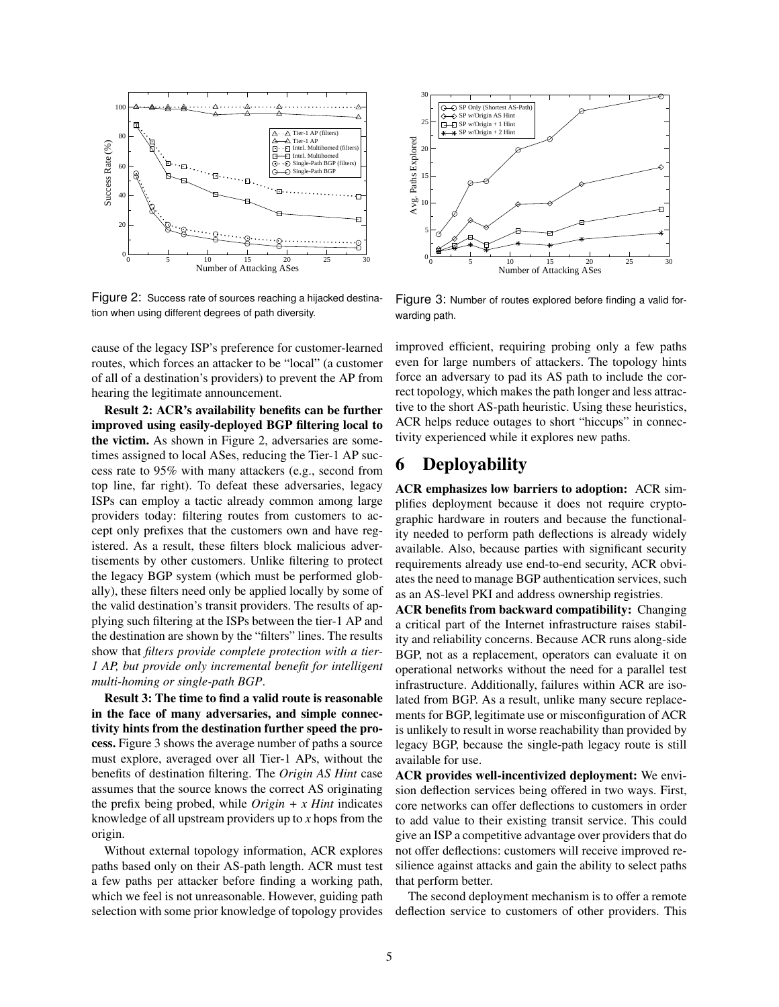

<span id="page-4-0"></span>Figure 2: Success rate of sources reaching a hijacked destination when using different degrees of path diversity.

cause of the legacy ISP's preference for customer-learned routes, which forces an attacker to be "local" (a customer of all of a destination's providers) to prevent the AP from hearing the legitimate announcement.

Result 2: ACR's availability benefits can be further improved using easily-deployed BGP filtering local to the victim. As shown in Figure [2,](#page-4-0) adversaries are sometimes assigned to local ASes, reducing the Tier-1 AP success rate to 95% with many attackers (e.g., second from top line, far right). To defeat these adversaries, legacy ISPs can employ a tactic already common among large providers today: filtering routes from customers to accept only prefixes that the customers own and have registered. As a result, these filters block malicious advertisements by other customers. Unlike filtering to protect the legacy BGP system (which must be performed globally), these filters need only be applied locally by some of the valid destination's transit providers. The results of applying such filtering at the ISPs between the tier-1 AP and the destination are shown by the "filters" lines. The results show that *filters provide complete protection with a tier-1 AP, but provide only incremental benefit for intelligent multi-homing or single-path BGP*.

Result 3: The time to find a valid route is reasonable in the face of many adversaries, and simple connectivity hints from the destination further speed the process. Figure [3](#page-4-2) shows the average number of paths a source must explore, averaged over all Tier-1 APs, without the benefits of destination filtering. The *Origin AS Hint* case assumes that the source knows the correct AS originating the prefix being probed, while *Origin + x Hint* indicates knowledge of all upstream providers up to *x* hops from the origin.

Without external topology information, ACR explores paths based only on their AS-path length. ACR must test a few paths per attacker before finding a working path, which we feel is not unreasonable. However, guiding path selection with some prior knowledge of topology provides



<span id="page-4-2"></span>Figure 3: Number of routes explored before finding a valid forwarding path.

improved efficient, requiring probing only a few paths even for large numbers of attackers. The topology hints force an adversary to pad its AS path to include the correct topology, which makes the path longer and less attractive to the short AS-path heuristic. Using these heuristics, ACR helps reduce outages to short "hiccups" in connectivity experienced while it explores new paths.

# <span id="page-4-1"></span>6 Deployability

ACR emphasizes low barriers to adoption: ACR simplifies deployment because it does not require cryptographic hardware in routers and because the functionality needed to perform path deflections is already widely available. Also, because parties with significant security requirements already use end-to-end security, ACR obviates the need to manage BGP authentication services, such as an AS-level PKI and address ownership registries.

ACR benefits from backward compatibility: Changing a critical part of the Internet infrastructure raises stability and reliability concerns. Because ACR runs along-side BGP, not as a replacement, operators can evaluate it on operational networks without the need for a parallel test infrastructure. Additionally, failures within ACR are isolated from BGP. As a result, unlike many secure replacements for BGP, legitimate use or misconfiguration of ACR is unlikely to result in worse reachability than provided by legacy BGP, because the single-path legacy route is still available for use.

ACR provides well-incentivized deployment: We envision deflection services being offered in two ways. First, core networks can offer deflections to customers in order to add value to their existing transit service. This could give an ISP a competitive advantage over providers that do not offer deflections: customers will receive improved resilience against attacks and gain the ability to select paths that perform better.

The second deployment mechanism is to offer a remote deflection service to customers of other providers. This